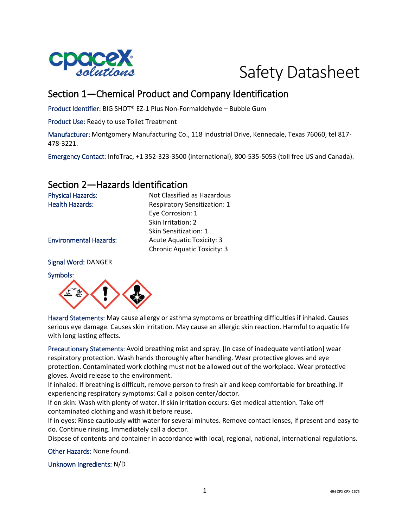



# Section 1—Chemical Product and Company Identification

Product Identifier: BIG SHOT® EZ-1 Plus Non-Formaldehyde – Bubble Gum

Product Use: Ready to use Toilet Treatment

Manufacturer: Montgomery Manufacturing Co., 118 Industrial Drive, Kennedale, Texas 76060, tel 817- 478-3221.

Emergency Contact: InfoTrac, +1 352-323-3500 (international), 800-535-5053 (toll free US and Canada).

### Section 2—Hazards Identification

Physical Hazards: Not Classified as Hazardous Health Hazards: Respiratory Sensitization: 1 Eye Corrosion: 1 Skin Irritation: 2 Skin Sensitization: 1 Environmental Hazards: Acute Aquatic Toxicity: 3 Chronic Aquatic Toxicity: 3

Signal Word: DANGER

Symbols:



Hazard Statements: May cause allergy or asthma symptoms or breathing difficulties if inhaled. Causes serious eye damage. Causes skin irritation. May cause an allergic skin reaction. Harmful to aquatic life with long lasting effects.

Precautionary Statements: Avoid breathing mist and spray. [In case of inadequate ventilation] wear respiratory protection. Wash hands thoroughly after handling. Wear protective gloves and eye protection. Contaminated work clothing must not be allowed out of the workplace. Wear protective gloves. Avoid release to the environment.

If inhaled: If breathing is difficult, remove person to fresh air and keep comfortable for breathing. If experiencing respiratory symptoms: Call a poison center/doctor.

If on skin: Wash with plenty of water. If skin irritation occurs: Get medical attention. Take off contaminated clothing and wash it before reuse.

If in eyes: Rinse cautiously with water for several minutes. Remove contact lenses, if present and easy to do. Continue rinsing. Immediately call a doctor.

Dispose of contents and container in accordance with local, regional, national, international regulations.

Other Hazards: None found.

Unknown Ingredients: N/D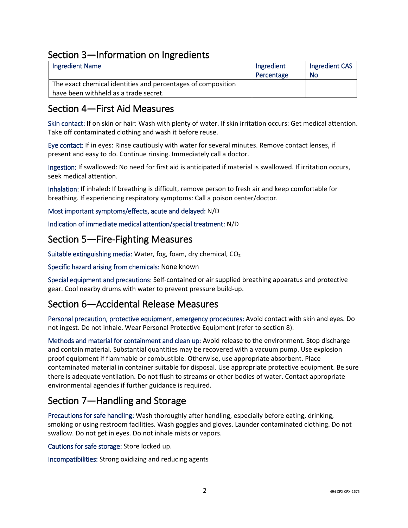## Section 3—Information on Ingredients

| <b>Ingredient Name</b>                                       | Ingredient | Ingredient CAS |
|--------------------------------------------------------------|------------|----------------|
|                                                              | Percentage | No             |
| The exact chemical identities and percentages of composition |            |                |
| have been withheld as a trade secret.                        |            |                |

## Section 4—First Aid Measures

Skin contact: If on skin or hair: Wash with plenty of water. If skin irritation occurs: Get medical attention. Take off contaminated clothing and wash it before reuse.

Eye contact: If in eyes: Rinse cautiously with water for several minutes. Remove contact lenses, if present and easy to do. Continue rinsing. Immediately call a doctor.

Ingestion: If swallowed: No need for first aid is anticipated if material is swallowed. If irritation occurs, seek medical attention.

Inhalation: If inhaled: If breathing is difficult, remove person to fresh air and keep comfortable for breathing. If experiencing respiratory symptoms: Call a poison center/doctor.

Most important symptoms/effects, acute and delayed: N/D

Indication of immediate medical attention/special treatment: N/D

### Section 5—Fire-Fighting Measures

Suitable extinguishing media: Water, fog, foam, dry chemical, CO₂

Specific hazard arising from chemicals: None known

Special equipment and precautions: Self-contained or air supplied breathing apparatus and protective gear. Cool nearby drums with water to prevent pressure build-up.

### Section 6—Accidental Release Measures

Personal precaution, protective equipment, emergency procedures: Avoid contact with skin and eyes. Do not ingest. Do not inhale. Wear Personal Protective Equipment (refer to section 8).

Methods and material for containment and clean up: Avoid release to the environment. Stop discharge and contain material. Substantial quantities may be recovered with a vacuum pump. Use explosion proof equipment if flammable or combustible. Otherwise, use appropriate absorbent. Place contaminated material in container suitable for disposal. Use appropriate protective equipment. Be sure there is adequate ventilation. Do not flush to streams or other bodies of water. Contact appropriate environmental agencies if further guidance is required.

# Section 7—Handling and Storage

Precautions for safe handling: Wash thoroughly after handling, especially before eating, drinking, smoking or using restroom facilities. Wash goggles and gloves. Launder contaminated clothing. Do not swallow. Do not get in eyes. Do not inhale mists or vapors.

Cautions for safe storage: Store locked up.

Incompatibilities: Strong oxidizing and reducing agents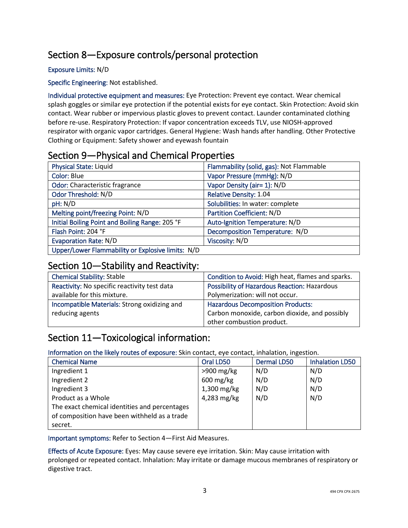# Section 8—Exposure controls/personal protection

### Exposure Limits: N/D

Specific Engineering: Not established.

Individual protective equipment and measures: Eye Protection: Prevent eye contact. Wear chemical splash goggles or similar eye protection if the potential exists for eye contact. Skin Protection: Avoid skin contact. Wear rubber or impervious plastic gloves to prevent contact. Launder contaminated clothing before re-use. Respiratory Protection: If vapor concentration exceeds TLV, use NIOSH-approved respirator with organic vapor cartridges. General Hygiene: Wash hands after handling. Other Protective Clothing or Equipment: Safety shower and eyewash fountain

### Section 9—Physical and Chemical Properties

| Physical State: Liquid                            | Flammability (solid, gas): Not Flammable |
|---------------------------------------------------|------------------------------------------|
| Color: Blue                                       | Vapor Pressure (mmHg): N/D               |
| Odor: Characteristic fragrance                    | Vapor Density (air= 1): N/D              |
| Odor Threshold: N/D                               | Relative Density: 1.04                   |
| pH: N/D                                           | Solubilities: In water: complete         |
| Melting point/freezing Point: N/D                 | Partition Coefficient: N/D               |
| Initial Boiling Point and Boiling Range: 205 °F   | Auto-Ignition Temperature: N/D           |
| Flash Point: 204 °F                               | Decomposition Temperature: N/D           |
| <b>Evaporation Rate: N/D</b>                      | Viscosity: N/D                           |
| Upper/Lower Flammability or Explosive limits: N/D |                                          |

### Section 10—Stability and Reactivity:

| <b>Chemical Stability: Stable</b>            | Condition to Avoid: High heat, flames and sparks.   |
|----------------------------------------------|-----------------------------------------------------|
| Reactivity: No specific reactivity test data | <b>Possibility of Hazardous Reaction: Hazardous</b> |
| available for this mixture.                  | Polymerization: will not occur.                     |
| Incompatible Materials: Strong oxidizing and | <b>Hazardous Decomposition Products:</b>            |
| reducing agents                              | Carbon monoxide, carbon dioxide, and possibly       |
|                                              | other combustion product.                           |

## Section 11—Toxicological information:

Information on the likely routes of exposure: Skin contact, eye contact, inhalation, ingestion.

| <b>Chemical Name</b>                          | Oral LD50              | <b>Dermal LD50</b> | <b>Inhalation LD50</b> |
|-----------------------------------------------|------------------------|--------------------|------------------------|
| Ingredient 1                                  | $>900$ mg/kg           | N/D                | N/D                    |
| Ingredient 2                                  | $600 \,\mathrm{mg/kg}$ | N/D                | N/D                    |
| Ingredient 3                                  | 1,300 mg/kg            | N/D                | N/D                    |
| Product as a Whole                            | 4,283 mg/kg            | N/D                | N/D                    |
| The exact chemical identities and percentages |                        |                    |                        |
| of composition have been withheld as a trade  |                        |                    |                        |
| secret.                                       |                        |                    |                        |

Important symptoms: Refer to Section 4—First Aid Measures.

Effects of Acute Exposure: Eyes: May cause severe eye irritation. Skin: May cause irritation with prolonged or repeated contact. Inhalation: May irritate or damage mucous membranes of respiratory or digestive tract.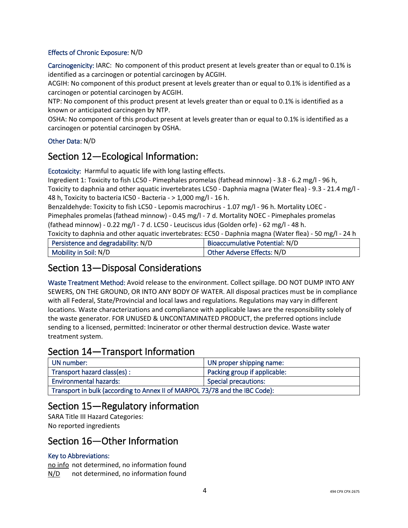### Effects of Chronic Exposure: N/D

Carcinogenicity: IARC: No component of this product present at levels greater than or equal to 0.1% is identified as a carcinogen or potential carcinogen by ACGIH.

ACGIH: No component of this product present at levels greater than or equal to 0.1% is identified as a carcinogen or potential carcinogen by ACGIH.

NTP: No component of this product present at levels greater than or equal to 0.1% is identified as a known or anticipated carcinogen by NTP.

OSHA: No component of this product present at levels greater than or equal to 0.1% is identified as a carcinogen or potential carcinogen by OSHA.

#### Other Data: N/D

### Section 12—Ecological Information:

Ecotoxicity: Harmful to aquatic life with long lasting effects.

Ingredient 1: Toxicity to fish LC50 - Pimephales promelas (fathead minnow) - 3.8 - 6.2 mg/l - 96 h, Toxicity to daphnia and other aquatic invertebrates LC50 - Daphnia magna (Water flea) - 9.3 - 21.4 mg/l - 48 h, Toxicity to bacteria IC50 - Bacteria - > 1,000 mg/l - 16 h.

Benzaldehyde: Toxicity to fish LC50 - Lepomis macrochirus - 1.07 mg/l - 96 h. Mortality LOEC - Pimephales promelas (fathead minnow) - 0.45 mg/l - 7 d. Mortality NOEC - Pimephales promelas (fathead minnow) - 0.22 mg/l - 7 d. LC50 - Leuciscus idus (Golden orfe) - 62 mg/l - 48 h.

Toxicity to daphnia and other aquatic invertebrates: EC50 - Daphnia magna (Water flea) - 50 mg/l - 24 h

| Persistence and degradability: N/D | Bioaccumulative Potential: N/D |
|------------------------------------|--------------------------------|
| Mobility in Soil: N/D              | Other Adverse Effects: N/D     |

### Section 13—Disposal Considerations

Waste Treatment Method: Avoid release to the environment. Collect spillage. DO NOT DUMP INTO ANY SEWERS, ON THE GROUND, OR INTO ANY BODY OF WATER. All disposal practices must be in compliance with all Federal, State/Provincial and local laws and regulations. Regulations may vary in different locations. Waste characterizations and compliance with applicable laws are the responsibility solely of the waste generator. FOR UNUSED & UNCONTAMINATED PRODUCT, the preferred options include sending to a licensed, permitted: Incinerator or other thermal destruction device. Waste water treatment system.

### Section 14—Transport Information

| UN number:                                                                  | UN proper shipping name:     |
|-----------------------------------------------------------------------------|------------------------------|
| Transport hazard class(es) :                                                | Packing group if applicable: |
| <b>Environmental hazards:</b>                                               | <b>Special precautions:</b>  |
| Transport in bulk (according to Annex II of MARPOL 73/78 and the IBC Code): |                              |

### Section 15—Regulatory information

SARA Title III Hazard Categories: No reported ingredients

### Section 16—Other Information

### Key to Abbreviations:

no info not determined, no information found N/D not determined, no information found